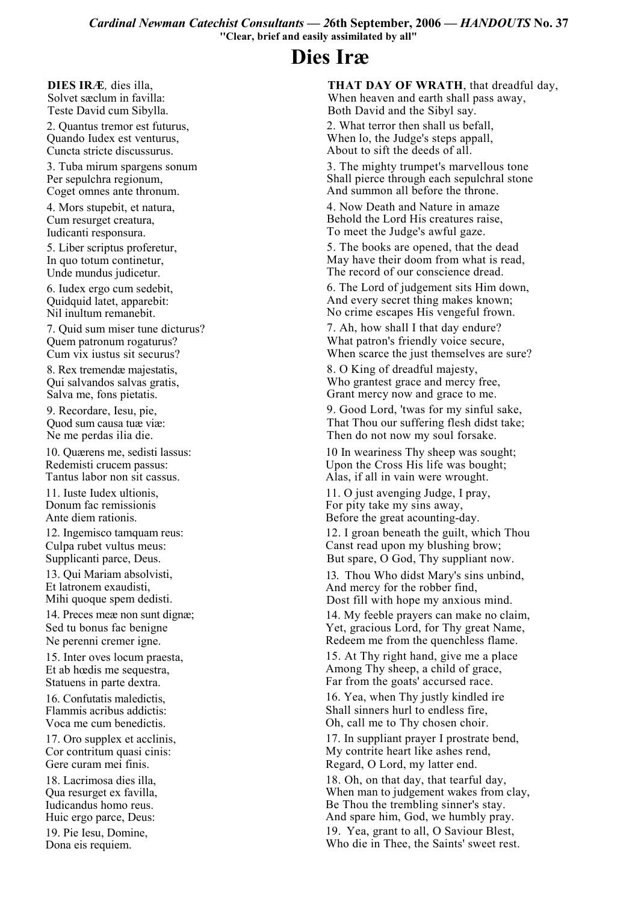Cardinal Newman Catechist Consultants - 26th September, 2006 - HANDOUTS No. 37 "Clear, brief and easily assimilated by all"

## Dies Iræ

DIES IRÆ, dies illa, Solvet sæclum in favilla:

Teste David cum Sibylla. 2. Quantus tremor est futurus,

Quando Iudex est venturus. Cuncta stricte discussurus.

3. Tuba mirum spargens sonum Per sepulchra regionum, Coget omnes ante thronum.

4. Mors stupebit, et natura, Cum resurget creatura, Iudicanti responsura.

5. Liber scriptus proferetur, In quo totum continetur, Unde mundus judicetur.

6. Iudex ergo cum sedebit. Quidquid latet, apparebit: Nil inultum remanebit.

7. Quid sum miser tune dicturus? Quem patronum rogaturus? Cum vix iustus sit securus?

8. Rex tremendæ majestatis, Qui salvandos salvas gratis, Salva me, fons pietatis.

9. Recordare, Iesu, pie, Quod sum causa tuæ viæ: Ne me perdas ilia die.

10. Ouærens me, sedisti lassus: Redemisti crucem passus: Tantus labor non sit cassus.

11. Iuste Iudex ultionis. Donum fac remissionis Ante diem rationis.

12. Ingemisco tamquam reus: Culpa rubet vultus meus: Supplicanti parce, Deus.

13. Oui Mariam absolvisti. Et latronem exaudisti.

Mihi quoque spem dedisti.

14. Preces meæ non sunt dignæ; Sed tu bonus fac benigne Ne perenni cremer igne.

15. Inter oves locum praesta, Et ab hœdis me sequestra. Statuens in parte dextra.

16. Confutatis maledictis, Flammis acribus addictis: Voca me cum benedictis.

17. Oro supplex et acclinis, Cor contritum quasi cinis: Gere curam mei finis.

18. Lacrimosa dies illa. Qua resurget ex favilla. Iudicandus homo reus. Huic ergo parce, Deus:

19. Pie Iesu, Domine, Dona eis requiem.

THAT DAY OF WRATH, that dreadful day, When heaven and earth shall pass away, Both David and the Sibyl say. 2. What terror then shall us befall. When lo, the Judge's steps appall, About to sift the deeds of all.

3. The mighty trumpet's marvellous tone Shall pierce through each sepulchral stone And summon all before the throne.

4. Now Death and Nature in amaze Behold the Lord His creatures raise. To meet the Judge's awful gaze.

5. The books are opened, that the dead May have their doom from what is read, The record of our conscience dread.

6. The Lord of judgement sits Him down, And every secret thing makes known; No crime escapes His vengeful frown.

7. Ah, how shall I that day endure? What patron's friendly voice secure, When scarce the just themselves are sure?

8. O King of dreadful majesty, Who grantest grace and mercy free. Grant mercy now and grace to me.

9. Good Lord, 'twas for my sinful sake, That Thou our suffering flesh didst take; Then do not now my soul forsake.

10 In weariness Thy sheep was sought; Upon the Cross His life was bought; Alas, if all in vain were wrought.

11. O just avenging Judge, I pray. For pity take my sins away. Before the great acounting-day.

12. I groan beneath the guilt, which Thou Canst read upon my blushing brow; But spare, O God, Thy suppliant now.

13. Thou Who didst Mary's sins unbind, And mercy for the robber find, Dost fill with hope my anxious mind.

14. My feeble prayers can make no claim, Yet, gracious Lord, for Thy great Name. Redeem me from the quenchless flame.

15. At Thy right hand, give me a place Among Thy sheep, a child of grace, Far from the goats' accursed race.

16. Yea, when Thy justly kindled ire Shall sinners hurl to endless fire. Oh, call me to Thy chosen choir.

17. In suppliant prayer I prostrate bend, My contrite heart like ashes rend. Regard, O Lord, my latter end.

18. Oh, on that day, that tearful day, When man to judgement wakes from clay, Be Thou the trembling sinner's stay. And spare him, God, we humbly pray. 19. Yea, grant to all, O Saviour Blest, Who die in Thee, the Saints' sweet rest.